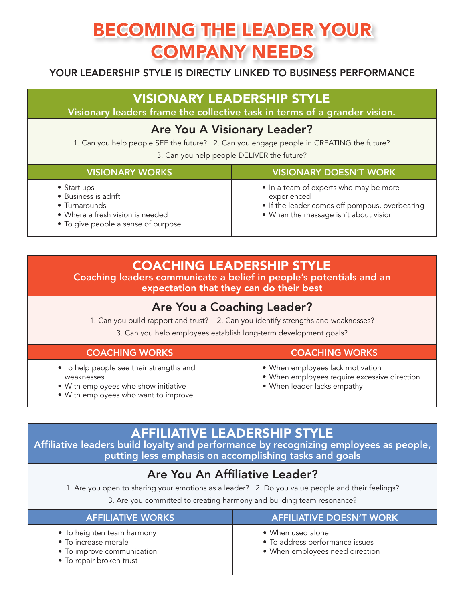# BECOMING THE LEADER YOUR COMPANY NEEDS

#### YOUR LEADERSHIP STYLE IS DIRECTLY LINKED TO BUSINESS PERFORMANCE

# VISIONARY LEADERSHIP STYLE

Visionary leaders frame the collective task in terms of a grander vision.

# Are You A Visionary Leader?

1. Can you help people SEE the future? 2. Can you engage people in CREATING the future?

3. Can you help people DELIVER the future?

| <b>VISIONARY WORKS</b>                                                                                                                  | <b>VISIONARY DOESN'T WORK</b>                                                                                                                    |
|-----------------------------------------------------------------------------------------------------------------------------------------|--------------------------------------------------------------------------------------------------------------------------------------------------|
| $\bullet$ Start ups<br>• Business is adrift<br>• Turnarounds<br>• Where a fresh vision is needed<br>• To give people a sense of purpose | • In a team of experts who may be more<br>experienced<br>• If the leader comes off pompous, overbearing<br>• When the message isn't about vision |

# COACHING LEADERSHIP STYLE

Coaching leaders communicate a belief in people's potentials and an expectation that they can do their best

## Are You a Coaching Leader?

1. Can you build rapport and trust? 2. Can you identify strengths and weaknesses?

3. Can you help employees establish long-term development goals?

| <b>COACHING WORKS</b>                                                                                                                  | <b>COACHING WORKS</b>                                                                                           |
|----------------------------------------------------------------------------------------------------------------------------------------|-----------------------------------------------------------------------------------------------------------------|
| • To help people see their strengths and<br>weaknesses<br>• With employees who show initiative<br>• With employees who want to improve | • When employees lack motivation<br>• When employees require excessive direction<br>• When leader lacks empathy |

# AFFILIATIVE LEADERSHIP STYLE

Affiliative leaders build loyalty and performance by recognizing employees as people, putting less emphasis on accomplishing tasks and goals

# Are You An Affiliative Leader?

1. Are you open to sharing your emotions as a leader? 2. Do you value people and their feelings?

3. Are you committed to creating harmony and building team resonance?

| <b>AFFILIATIVE WORKS</b>                                                                                     | <b>AFFILIATIVE DOESN'T WORK</b>                                                         |
|--------------------------------------------------------------------------------------------------------------|-----------------------------------------------------------------------------------------|
| • To heighten team harmony<br>• To increase morale<br>• To improve communication<br>• To repair broken trust | • When used alone<br>• To address performance issues<br>• When employees need direction |